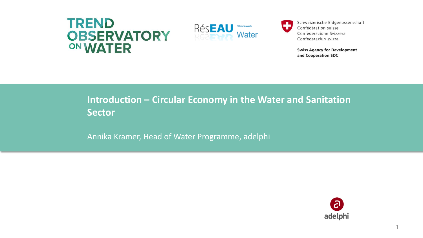## **TREND OBSERVATORY** ON WATER



Schweizerische Eidgenossenschaft Confédération suisse Confederazione Svizzera Confederaziun svizra

**Swiss Agency for Development** and Cooperation SDC

### **Introduction – Circular Economy in the Water and Sanitation Sector**

Annika Kramer, Head of Water Programme, adelphi

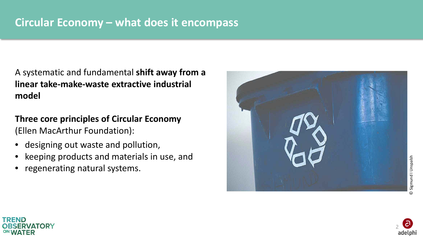A systematic and fundamental **shift away from a linear take-make-waste extractive industrial model**

**Three core principles of Circular Economy** (Ellen MacArthur Foundation):

- designing out waste and pollution,
- keeping products and materials in use, and
- regenerating natural systems.







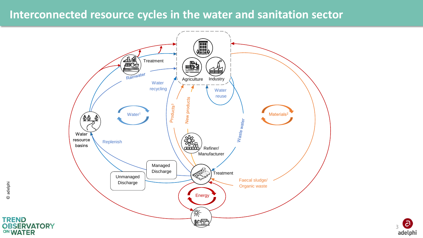### **Interconnected resource cycles in the water and sanitation sector**





**TREND** 

ON WATER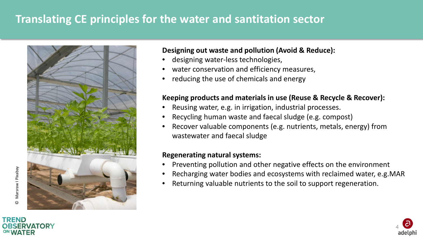## **Translating CE principles for the water and santitation sector**



#### **Designing out waste and pollution (Avoid & Reduce):**

- designing water-less technologies,
- water conservation and efficiency measures,
- reducing the use of chemicals and energy

#### **Keeping products and materials in use (Reuse & Recycle & Recover):**

- Reusing water, e.g. in irrigation, industrial processes.
- Recycling human waste and faecal sludge (e.g. compost)
- Recover valuable components (e.g. nutrients, metals, energy) from wastewater and faecal sludge

#### **Regenerating natural systems:**

- Preventing pollution and other negative effects on the environment
- Recharging water bodies and ecosystems with reclaimed water, e.g.MAR
- Returning valuable nutrients to the soil to support regeneration.





©

Marsraw I Pixabay

Marsraw I Pixabay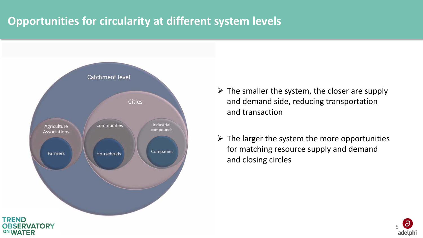# **Opportunities for circularity at different system levels**



- $\triangleright$  The smaller the system, the closer are supply and demand side, reducing transportation and transaction
- $\triangleright$  The larger the system the more opportunities for matching resource supply and demand and closing circles